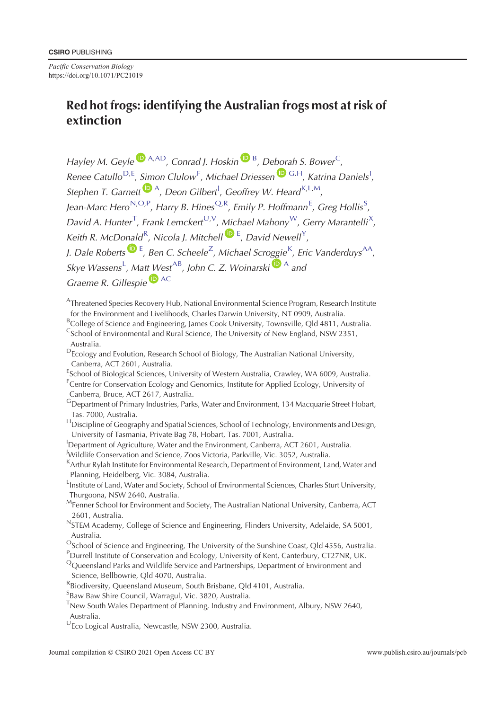*Pacific Conservation Biology* https://doi.org/10.1071/PC21019

# **Red hot frogs: identifying the Australian frogs most at risk of extinction**

*Hayley M. Geyle*  $\bullet$  <sup>A,AD</sup>, *Conrad J. Hoskin*  $\bullet$  <sup>B</sup>, *Deborah S. Bower*<sup>C</sup>, Renee Catullo<sup>D, E</sup>, Simon Clulow<sup>F</sup>, Michael Driessen<sup>DG, H</sup>, Katrina Daniels<sup>1</sup>, *Stephen T. Garnett*  $\mathbf{D}^{A}$ , *Deon Gilbert<sup>1</sup>*, *Geoffrey W. Heard*<sup>K,L,M</sup>, Jean-Marc Hero<sup>N,O,P</sup>, Harry B. Hines<sup>Q,R</sup>, Emily P. Hoffmann<sup>E</sup>, Greg Hollis<sup>S</sup>, David A. Hunter<sup>T</sup>, Frank Lemckert<sup>U,[V](#page-1-0)</sup>, Michael Mahony<sup>W</sup>, Gerry Marantelli<sup>[X](#page-1-0)</sup>, Keith R. McDonald<sup>R</sup>, Nicola J. Mitchell<sup>D[E](https://orcid.org/0000-0003-0744-984X)</sup>, David Newell<sup>[Y](#page-1-0)</sup>, J. Dale Roberts <sup>D E</sup>, Ben C. Scheele<sup>[Z](#page-1-0)</sup>, Michael Scroggie<sup>K</sup>, Eric Vanderduys<sup>AA</sup>,  $S$ kye Wassens<sup>L</sup>, Matt West<sup>[A](https://orcid.org/0000-0002-1712-9500)B</sup>, John C. Z. Woinarski<sup>D A</sup> and *Graeme R. Gillespie* [AC](#page-1-0)

- AThreatened Species Recovery Hub, National Environmental Science Program, Research Institute for the Environment and Livelihoods, Charles Darwin University, NT 0909, Australia.
- <sup>B</sup>College of Science and Engineering, James Cook University, Townsville, Qld 4811, Australia. <sup>C</sup>School of Environmental and Rural Science, The University of New England, NSW 2351, Australia.
- DEcology and Evolution, Research School of Biology, The Australian National University, Canberra, ACT 2601, Australia.
- <sup>E</sup>School of Biological Sciences, University of Western Australia, Crawley, WA 6009, Australia. <sup>F</sup>Centre for Conservation Ecology and Genomics, Institute for Applied Ecology, University of
- Canberra, Bruce, ACT 2617, Australia.
- GDepartment of Primary Industries, Parks, Water and Environment, 134 Macquarie Street Hobart, Tas. 7000, Australia.
- <sup>H</sup>Discipline of Geography and Spatial Sciences, School of Technology, Environments and Design, University of Tasmania, Private Bag 78, Hobart, Tas. 7001, Australia.
- <sup>I</sup>Department of Agriculture, Water and the Environment, Canberra, ACT 2601, Australia. J Wildlife Conservation and Science, Zoos Victoria, Parkville, Vic. 3052, Australia.
- <sup>K</sup>Arthur Rylah Institute for Environmental Research, Department of Environment, Land, Water and Planning, Heidelberg, Vic. 3084, Australia.

LInstitute of Land, Water and Society, School of Environmental Sciences, Charles Sturt University, Thurgoona, NSW 2640, Australia.

- MFenner School for Environment and Society, The Australian National University, Canberra, ACT 2601, Australia.
- NSTEM Academy, College of Science and Engineering, Flinders University, Adelaide, SA 5001, Australia.
- <sup>O</sup>School of Science and Engineering, The University of the Sunshine Coast, Qld 4556, Australia.
- PDurrell Institute of Conservation and Ecology, University of Kent, Canterbury, CT27NR, UK.
- <sup>Q</sup>Queensland Parks and Wildlife Service and Partnerships, Department of Environment and Science, Bellbowrie, Qld 4070, Australia.
- RBiodiversity, Queensland Museum, South Brisbane, Qld 4101, Australia.
- <sup>S</sup>Baw Baw Shire Council, Warragul, Vic. 3820, Australia.
- <sup>T</sup>New South Wales Department of Planning, Industry and Environment, Albury, NSW 2640, Australia.
- <sup>U</sup>Eco Logical Australia, Newcastle, NSW 2300, Australia.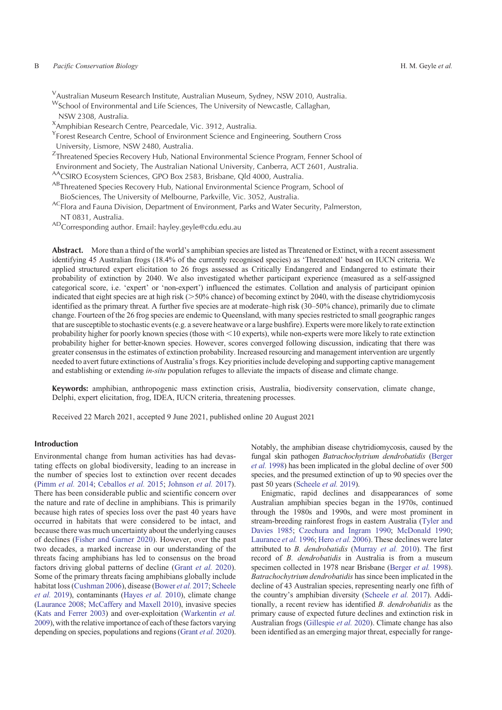#### <span id="page-1-0"></span>B *Pacific Conservation Biology* H. M. Geyle *et al.*

<sup>V</sup>Australian Museum Research Institute, Australian Museum, Sydney, NSW 2010, Australia.

WSchool of Environmental and Life Sciences, The University of Newcastle, Callaghan, NSW 2308, Australia.

<sup>X</sup>Amphibian Research Centre, Pearcedale, Vic. 3912, Australia.

<sup>Y</sup> Forest Research Centre, School of Environment Science and Engineering, Southern Cross University, Lismore, NSW 2480, Australia.

<sup>Z</sup>Threatened Species Recovery Hub, National Environmental Science Program, Fenner School of

Environment and Society, The Australian National University, Canberra, ACT 2601, Australia.

<sup>AA</sup>CSIRO Ecosystem Sciences, GPO Box 2583, Brisbane, Qld 4000, Australia.

ABThreatened Species Recovery Hub, National Environmental Science Program, School of BioSciences, The University of Melbourne, Parkville, Vic. 3052, Australia.

ACFlora and Fauna Division, Department of Environment, Parks and Water Security, Palmerston, NT 0831, Australia.

ADCorresponding author. Email: hayley.geyle@cdu.edu.au

Abstract. More than a third of the world's amphibian species are listed as Threatened or Extinct, with a recent assessment identifying 45 Australian frogs (18.4% of the currently recognised species) as 'Threatened' based on IUCN criteria. We applied structured expert elicitation to 26 frogs assessed as Critically Endangered and Endangered to estimate their probability of extinction by 2040. We also investigated whether participant experience (measured as a self-assigned categorical score, i.e. 'expert' or 'non-expert') influenced the estimates. Collation and analysis of participant opinion indicated that eight species are at high risk ( $>50\%$  chance) of becoming extinct by 2040, with the disease chytridiomycosis identified as the primary threat. A further five species are at moderate–high risk (30–50% chance), primarily due to climate change. Fourteen of the 26 frog species are endemic to Queensland, with many species restricted to small geographic ranges that are susceptible to stochastic events (e.g. a severe heatwave or a large bushfire). Experts were more likely to rate extinction probability higher for poorly known species (those with  $\leq 10$  experts), while non-experts were more likely to rate extinction probability higher for better-known species. However, scores converged following discussion, indicating that there was greater consensus in the estimates of extinction probability. Increased resourcing and management intervention are urgently needed to avert future extinctions of Australia's frogs. Key priorities include developing and supporting captive management and establishing or extending *in-situ* population refuges to alleviate the impacts of disease and climate change.

**Keywords:** amphibian, anthropogenic mass extinction crisis, Australia, biodiversity conservation, climate change, Delphi, expert elicitation, frog, IDEA, IUCN criteria, threatening processes.

Received 22 March 2021, accepted 9 June 2021, published online 20 August 2021

# **Introduction**

Environmental change from human activities has had devastating effects on global biodiversity, leading to an increase in the number of species lost to extinction over recent decades ([Pimm](#page-12-0) *et al.* 2014; [Ceballos](#page-10-0) *et al.* 2015; [Johnson](#page-11-0) *et al.* 2017). There has been considerable public and scientific concern over the nature and rate of decline in amphibians. This is primarily because high rates of species loss over the past 40 years have occurred in habitats that were considered to be intact, and because there was much uncertainty about the underlying causes of declines [\(Fisher and Garner 2020](#page-10-0)). However, over the past two decades, a marked increase in our understanding of the threats facing amphibians has led to consensus on the broad factors driving global patterns of decline ([Grant](#page-11-0) *et al.* 2020). Some of the primary threats facing amphibians globally include habitat loss ([Cushman 2006](#page-10-0)), disease [\(Bower](#page-10-0) *et al.* 2017; [Scheele](#page-12-0) *[et al.](#page-12-0)* 2019), contaminants [\(Hayes](#page-11-0) *et al.* 2010), climate change ([Laurance 2008](#page-11-0); [McCaffery and Maxell 2010\)](#page-11-0), invasive species ([Kats and Ferrer 2003](#page-11-0)) and over-exploitation [\(Warkentin](#page-12-0) *et al.* [2009](#page-12-0)), with the relative importance of each of these factors varying depending on species, populations and regions [\(Grant](#page-11-0) *et al.* 2020).

Notably, the amphibian disease chytridiomycosis, caused by the fungal skin pathogen *Batrachochytrium dendrobatidis* [\(Berger](#page-10-0) *[et al.](#page-10-0)* 1998) has been implicated in the global decline of over 500 species, and the presumed extinction of up to 90 species over the past 50 years [\(Scheele](#page-12-0) *et al.* 2019).

Enigmatic, rapid declines and disappearances of some Australian amphibian species began in the 1970s, continued through the 1980s and 1990s, and were most prominent in stream-breeding rainforest frogs in eastern Australia [\(Tyler and](#page-12-0) [Davies 1985](#page-12-0); [Czechura and Ingram 1990;](#page-10-0) [McDonald 1990](#page-11-0); [Laurance](#page-11-0) *et al.* 1996; Hero *et al.* [2006\)](#page-11-0). These declines were later attributed to *B. dendrobatidis* [\(Murray](#page-12-0) *et al.* 2010). The first record of *B. dendrobatidis* in Australia is from a museum specimen collected in 1978 near Brisbane ([Berger](#page-10-0) *et al.* 1998). *Batrachochytrium dendrobatidis* has since been implicated in the decline of 43 Australian species, representing nearly one fifth of the country's amphibian diversity ([Scheele](#page-12-0) *et al.* 2017). Additionally, a recent review has identified *B. dendrobatidis* as the primary cause of expected future declines and extinction risk in Australian frogs [\(Gillespie](#page-11-0) *et al.* 2020). Climate change has also been identified as an emerging major threat, especially for range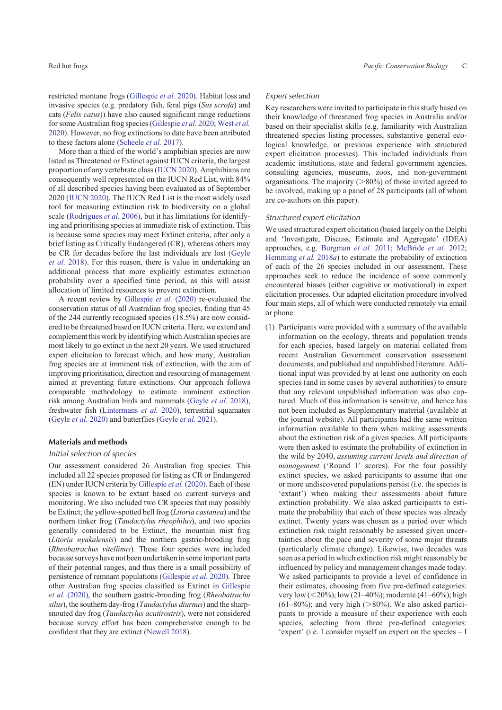restricted montane frogs ([Gillespie](#page-11-0) *et al.* 2020). Habitat loss and invasive species (e.g. predatory fish, feral pigs (*Sus scrofa*) and cats (*Felis catus*)) have also caused significant range reductions for some Australian frog species [\(Gillespie](#page-11-0) *et al.* 2020; [West](#page-12-0) *et al.* [2020](#page-12-0)). However, no frog extinctions to date have been attributed to these factors alone ([Scheele](#page-12-0) *et al.* 2017).

More than a third of the world's amphibian species are now listed as Threatened or Extinct against IUCN criteria, the largest proportion of any vertebrate class ([IUCN 2020](#page-11-0)). Amphibians are consequently well represented on the IUCN Red List, with 84% of all described species having been evaluated as of September 2020 ([IUCN 2020\)](#page-11-0). The IUCN Red List is the most widely used tool for measuring extinction risk to biodiversity on a global scale [\(Rodrigues](#page-12-0) *et al.* 2006), but it has limitations for identifying and prioritising species at immediate risk of extinction. This is because some species may meet Extinct criteria, after only a brief listing as Critically Endangered (CR), whereas others may be CR for decades before the last individuals are lost [\(Geyle](#page-10-0) *[et al.](#page-10-0)* 2018). For this reason, there is value in undertaking an additional process that more explicitly estimates extinction probability over a specified time period, as this will assist allocation of limited resources to prevent extinction.

A recent review by [Gillespie](#page-11-0) *et al.* (2020) re-evaluated the conservation status of all Australian frog species, finding that 45 of the 244 currently recognised species (18.5%) are now considered to be threatened based on IUCN criteria. Here, we extend and complement this work by identifying which Australian species are most likely to go extinct in the next 20 years. We used structured expert elicitation to forecast which, and how many, Australian frog species are at imminent risk of extinction, with the aim of improving prioritisation, direction and resourcing of management aimed at preventing future extinctions. Our approach follows comparable methodology to estimate imminent extinction risk among Australian birds and mammals [\(Geyle](#page-10-0) *et al.* 2018), freshwater fish [\(Lintermans](#page-11-0) *et al.* 2020), terrestrial squamates ([Geyle](#page-10-0) *et al.* 2020) and butterflies [\(Geyle](#page-10-0) *et al.* 2021).

#### **Materials and methods**

#### *Initial selection of species*

Our assessment considered 26 Australian frog species. This included all 22 species proposed for listing as CR or Endangered (EN) under IUCN criteria by [Gillespie](#page-11-0) *et al.* (2020). Each of these species is known to be extant based on current surveys and monitoring. We also included two CR species that may possibly be Extinct; the yellow-spotted bell frog (*Litoria castanea*) and the northern tinker frog (*Taudactylus rheophilus*), and two species generally considered to be Extinct, the mountain mist frog (*Litoria nyakalensis*) and the northern gastric-brooding frog (*Rheobatrachus vitellinus*). These four species were included because surveys have not been undertaken in some important parts of their potential ranges, and thus there is a small possibility of persistence of remnant populations [\(Gillespie](#page-11-0) *et al.* 2020). Three other Australian frog species classified as Extinct in [Gillespie](#page-11-0) *et al.* [\(2020\),](#page-11-0) the southern gastric-brooding frog (*Rheobatrachu silus*), the southern day-frog (*Taudactylus diurnus*) and the sharpsnouted day frog (*Taudactylus acutirostris*), were not considered because survey effort has been comprehensive enough to be confident that they are extinct [\(Newell 2018\)](#page-12-0).

#### *Expert selection*

Key researchers were invited to participate in this study based on their knowledge of threatened frog species in Australia and/or based on their specialist skills (e.g. familiarity with Australian threatened species listing processes, substantive general ecological knowledge, or previous experience with structured expert elicitation processes). This included individuals from academic institutions, state and federal government agencies, consulting agencies, museums, zoos, and non-government organisations. The majority  $(>\!\!80\%)$  of those invited agreed to be involved, making up a panel of 28 participants (all of whom are co-authors on this paper).

#### *Structured expert elicitation*

We used structured expert elicitation (based largely on the Delphi and 'Investigate, Discuss, Estimate and Aggregate' (IDEA) approaches, e.g. [Burgman](#page-10-0) *et al.* 2011; [McBride](#page-11-0) *et al.* 2012; [Hemming](#page-11-0) *et al.* 2018*a*) to estimate the probability of extinction of each of the 26 species included in our assessment. These approaches seek to reduce the incidence of some commonly encountered biases (either cognitive or motivational) in expert elicitation processes. Our adapted elicitation procedure involved four main steps, all of which were conducted remotely via email or phone:

(1) Participants were provided with a summary of the available information on the ecology, threats and population trends for each species, based largely on material collated from recent Australian Government conservation assessment documents, and published and unpublished literature. Additional input was provided by at least one authority on each species (and in some cases by several authorities) to ensure that any relevant unpublished information was also captured. Much of this information is sensitive, and hence has not been included as Supplementary material (available at the journal website). All participants had the same written information available to them when making assessments about the extinction risk of a given species. All participants were then asked to estimate the probability of extinction in the wild by 2040, *assuming current levels and direction of management* ('Round 1' scores). For the four possibly extinct species, we asked participants to assume that one or more undiscovered populations persist (i.e. the species is 'extant') when making their assessments about future extinction probability. We also asked participants to estimate the probability that each of these species was already extinct. Twenty years was chosen as a period over which extinction risk might reasonably be assessed given uncertainties about the pace and severity of some major threats (particularly climate change). Likewise, two decades was seen as a period in which extinction risk might reasonably be influenced by policy and management changes made today. We asked participants to provide a level of confidence in their estimates, choosing from five pre-defined categories: very low (<20%); low (21–40%); moderate (41–60%); high  $(61–80\%)$ ; and very high ( $>80\%$ ). We also asked participants to provide a measure of their experience with each species, selecting from three pre-defined categories: 'expert' (i.e. I consider myself an expert on the species – I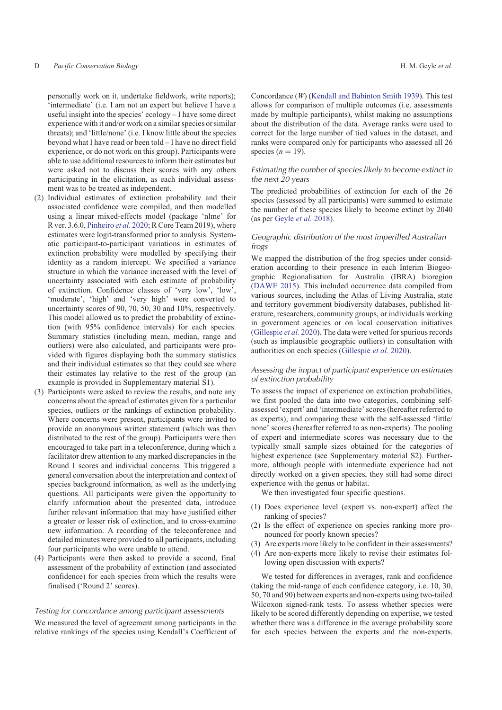personally work on it, undertake fieldwork, write reports); 'intermediate' (i.e. I am not an expert but believe I have a useful insight into the species' ecology – I have some direct experience with it and/or work on a similar species or similar threats); and 'little/none' (i.e. I know little about the species beyond what I have read or been told – I have no direct field experience, or do not work on this group). Participants were able to use additional resources to inform their estimates but were asked not to discuss their scores with any others participating in the elicitation, as each individual assessment was to be treated as independent.

- (2) Individual estimates of extinction probability and their associated confidence were compiled, and then modelled using a linear mixed-effects model (package 'nlme' for R ver. 3.6.0, [Pinheiro](#page-12-0) *et al.* 2020; R Core Team 2019), where estimates were logit-transformed prior to analysis. Systematic participant-to-participant variations in estimates of extinction probability were modelled by specifying their identity as a random intercept. We specified a variance structure in which the variance increased with the level of uncertainty associated with each estimate of probability of extinction. Confidence classes of 'very low', 'low', 'moderate', 'high' and 'very high' were converted to uncertainty scores of 90, 70, 50, 30 and 10%, respectively. This model allowed us to predict the probability of extinction (with 95% confidence intervals) for each species. Summary statistics (including mean, median, range and outliers) were also calculated, and participants were provided with figures displaying both the summary statistics and their individual estimates so that they could see where their estimates lay relative to the rest of the group (an example is provided in Supplementary material S1).
- (3) Participants were asked to review the results, and note any concerns about the spread of estimates given for a particular species, outliers or the rankings of extinction probability. Where concerns were present, participants were invited to provide an anonymous written statement (which was then distributed to the rest of the group). Participants were then encouraged to take part in a teleconference, during which a facilitator drew attention to any marked discrepancies in the Round 1 scores and individual concerns. This triggered a general conversation about the interpretation and context of species background information, as well as the underlying questions. All participants were given the opportunity to clarify information about the presented data, introduce further relevant information that may have justified either a greater or lesser risk of extinction, and to cross-examine new information. A recording of the teleconference and detailed minutes were provided to all participants, including four participants who were unable to attend.
- (4) Participants were then asked to provide a second, final assessment of the probability of extinction (and associated confidence) for each species from which the results were finalised ('Round 2' scores).

# *Testing for concordance among participant assessments*

We measured the level of agreement among participants in the relative rankings of the species using Kendall's Coefficient of Concordance (*W*) [\(Kendall and Babinton Smith 1939](#page-11-0)). This test allows for comparison of multiple outcomes (i.e. assessments made by multiple participants), whilst making no assumptions about the distribution of the data. Average ranks were used to correct for the large number of tied values in the dataset, and ranks were compared only for participants who assessed all 26 species  $(n = 19)$ .

# *Estimating the number of species likely to become extinct in the next 20 years*

The predicted probabilities of extinction for each of the 26 species (assessed by all participants) were summed to estimate the number of these species likely to become extinct by 2040 (as per [Geyle](#page-10-0) *et al.* 2018).

# *Geographic distribution of the most imperilled Australian frogs*

We mapped the distribution of the frog species under consideration according to their presence in each Interim Biogeographic Regionalisation for Australia (IBRA) bioregion [\(DAWE 2015](#page-10-0)). This included occurrence data compiled from various sources, including the Atlas of Living Australia, state and territory government biodiversity databases, published literature, researchers, community groups, or individuals working in government agencies or on local conservation initiatives [\(Gillespie](#page-11-0) *et al.* 2020). The data were vetted for spurious records (such as implausible geographic outliers) in consultation with authorities on each species [\(Gillespie](#page-11-0) *et al.* 2020).

# *Assessing the impact of participant experience on estimates of extinction probability*

To assess the impact of experience on extinction probabilities, we first pooled the data into two categories, combining selfassessed 'expert' and 'intermediate' scores (hereafter referred to as experts), and comparing these with the self-assessed 'little/ none' scores (hereafter referred to as non-experts). The pooling of expert and intermediate scores was necessary due to the typically small sample sizes obtained for the categories of highest experience (see Supplementary material S2). Furthermore, although people with intermediate experience had not directly worked on a given species, they still had some direct experience with the genus or habitat.

We then investigated four specific questions.

- (1) Does experience level (expert vs. non-expert) affect the ranking of species?
- (2) Is the effect of experience on species ranking more pronounced for poorly known species?
- (3) Are experts more likely to be confident in their assessments?
- (4) Are non-experts more likely to revise their estimates following open discussion with experts?

We tested for differences in averages, rank and confidence (taking the mid-range of each confidence category, i.e. 10, 30, 50, 70 and 90) between experts and non-experts using two-tailed Wilcoxon signed-rank tests. To assess whether species were likely to be scored differently depending on expertise, we tested whether there was a difference in the average probability score for each species between the experts and the non-experts.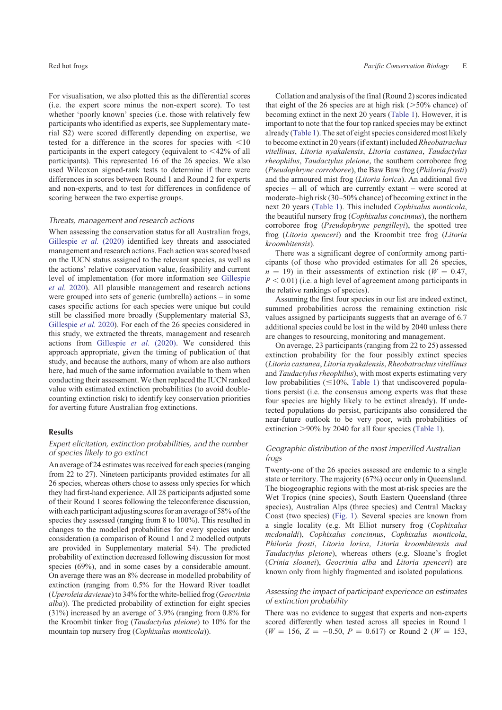For visualisation, we also plotted this as the differential scores (i.e. the expert score minus the non-expert score). To test whether 'poorly known' species (i.e. those with relatively few participants who identified as experts, see Supplementary material S2) were scored differently depending on expertise, we tested for a difference in the scores for species with  $\leq 10$ participants in the expert category (equivalent to  $\langle 42\% \rangle$  of all participants). This represented 16 of the 26 species. We also used Wilcoxon signed-rank tests to determine if there were differences in scores between Round 1 and Round 2 for experts and non-experts, and to test for differences in confidence of scoring between the two expertise groups.

#### *Threats, management and research actions*

When assessing the conservation status for all Australian frogs, [Gillespie](#page-11-0) *et al.* (2020) identified key threats and associated management and research actions. Each action was scored based on the IUCN status assigned to the relevant species, as well as the actions' relative conservation value, feasibility and current level of implementation (for more information see [Gillespie](#page-11-0) *[et al.](#page-11-0)* 2020). All plausible management and research actions were grouped into sets of generic (umbrella) actions – in some cases specific actions for each species were unique but could still be classified more broadly (Supplementary material S3, [Gillespie](#page-11-0) *et al.* 2020). For each of the 26 species considered in this study, we extracted the threats, management and research actions from [Gillespie](#page-11-0) *et al.* (2020). We considered this approach appropriate, given the timing of publication of that study, and because the authors, many of whom are also authors here, had much of the same information available to them when conducting their assessment. We then replaced the IUCN ranked value with estimated extinction probabilities (to avoid doublecounting extinction risk) to identify key conservation priorities for averting future Australian frog extinctions.

#### **Results**

# *Expert elicitation, extinction probabilities, and the number of species likely to go extinct*

An average of 24 estimates was received for each species (ranging from 22 to 27). Nineteen participants provided estimates for all 26 species, whereas others chose to assess only species for which they had first-hand experience. All 28 participants adjusted some of their Round 1 scores following the teleconference discussion, with each participant adjusting scores for an average of 58% of the species they assessed (ranging from 8 to 100%). This resulted in changes to the modelled probabilities for every species under consideration (a comparison of Round 1 and 2 modelled outputs are provided in Supplementary material S4). The predicted probability of extinction decreased following discussion for most species (69%), and in some cases by a considerable amount. On average there was an 8% decrease in modelled probability of extinction (ranging from 0.5% for the Howard River toadlet (*Uperoleia daviesae*) to 34% for the white-bellied frog (*Geocrinia alba*)). The predicted probability of extinction for eight species (31%) increased by an average of 3.9% (ranging from 0.8% for the Kroombit tinker frog (*Taudactylus pleione*) to 10% for the mountain top nursery frog (*Cophixalus monticola*)).

Collation and analysis of the final (Round 2) scores indicated that eight of the 26 species are at high risk ( $>50\%$  chance) of becoming extinct in the next 20 years [\(Table 1](#page-5-0)). However, it is important to note that the four top ranked species may be extinct already [\(Table 1](#page-5-0)). The set of eight species considered most likely to become extinct in 20 years (if extant) included *Rheobatrachus vitellinus*, *Litoria nyakalensis*, *Litoria castanea*, *Taudactylus rheophilus*, *Taudactylus pleione*, the southern corroboree frog (*Pseudophryne corroboree*), the Baw Baw frog (*Philoria frosti*) and the armoured mist frog (*Litoria lorica*). An additional five species – all of which are currently extant – were scored at moderate–high risk (30–50% chance) of becoming extinct in the next 20 years [\(Table 1\)](#page-5-0). This included *Cophixalus monticola*, the beautiful nursery frog (*Cophixalus concinnus*), the northern corroboree frog (*Pseudophryne pengilleyi*), the spotted tree frog (*Litoria spenceri*) and the Kroombit tree frog (*Litoria kroombitensis*).

There was a significant degree of conformity among participants (of those who provided estimates for all 26 species,  $n = 19$ ) in their assessments of extinction risk ( $W = 0.47$ ,  $P < 0.01$ ) (i.e. a high level of agreement among participants in the relative rankings of species).

Assuming the first four species in our list are indeed extinct, summed probabilities across the remaining extinction risk values assigned by participants suggests that an average of 6.7 additional species could be lost in the wild by 2040 unless there are changes to resourcing, monitoring and management.

On average, 23 participants (ranging from 22 to 25) assessed extinction probability for the four possibly extinct species (*Litoria castanea*, *Litoria nyakalensis*, *Rheobatrachus vitellinus* and *Taudactylus rheophilus*), with most experts estimating very low probabilities  $(\leq 10\%,$  [Table 1\)](#page-5-0) that undiscovered populations persist (i.e. the consensus among experts was that these four species are highly likely to be extinct already). If undetected populations do persist, participants also considered the near-future outlook to be very poor, with probabilities of extinction  $>90\%$  by 2040 for all four species [\(Table 1\)](#page-5-0).

# *Geographic distribution of the most imperilled Australian frogs*

Twenty-one of the 26 species assessed are endemic to a single state or territory. The majority (67%) occur only in Queensland. The biogeographic regions with the most at-risk species are the Wet Tropics (nine species), South Eastern Queensland (three species), Australian Alps (three species) and Central Mackay Coast (two species) [\(Fig. 1](#page-5-0)). Several species are known from a single locality (e.g. Mt Elliot nursery frog (*Cophixalus mcdonaldi*), *Cophixalus concinnus*, *Cophixalus monticola*, *Philoria frosti*, *Litoria lorica*, *Litoria kroombitensis and Taudactylus pleione*), whereas others (e.g. Sloane's froglet (*Crinia sloanei*), *Geocrinia alba* and *Litoria spenceri*) are known only from highly fragmented and isolated populations.

# *Assessing the impact of participant experience on estimates of extinction probability*

There was no evidence to suggest that experts and non-experts scored differently when tested across all species in Round 1  $(W = 156, Z = -0.50, P = 0.617)$  or Round 2 ( $W = 153$ ,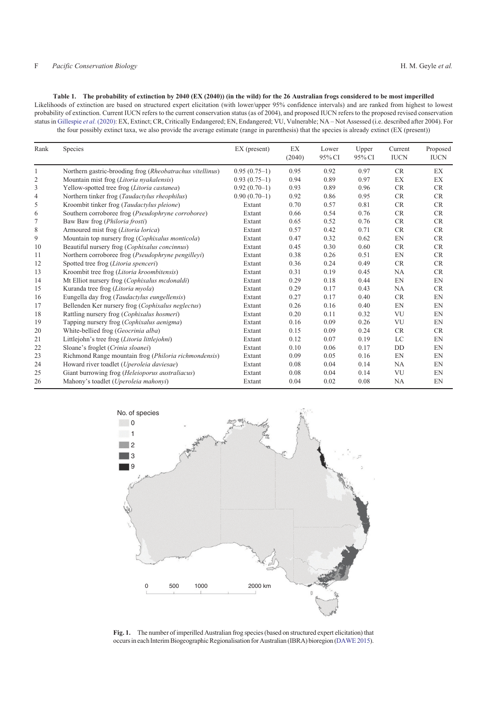#### <span id="page-5-0"></span>F *Pacific Conservation Biology* H. M. Geyle *et al.*

**Table 1. The probability of extinction by 2040 (EX (2040)) (in the wild) for the 26 Australian frogs considered to be most imperilled** Likelihoods of extinction are based on structured expert elicitation (with lower/upper 95% confidence intervals) and are ranked from highest to lowest probability of extinction. Current IUCN refers to the current conservation status (as of 2004), and proposed IUCN refers to the proposed revised conservation status in [Gillespie](#page-11-0) *et al.* (2020): EX, Extinct; CR, Critically Endangered; EN, Endangered; VU, Vulnerable; NA – Not Assessed (i.e. described after 2004). For the four possibly extinct taxa, we also provide the average estimate (range in parenthesis) that the species is already extinct (EX (present))

| Rank | Species                                                   | $EX$ (present) | EX<br>(2040) | Lower<br>95% CI | Upper<br>95% CI | Current<br><b>IUCN</b> | Proposed<br><b>IUCN</b> |
|------|-----------------------------------------------------------|----------------|--------------|-----------------|-----------------|------------------------|-------------------------|
| 1    | Northern gastric-brooding frog (Rheobatrachus vitellinus) | $0.95(0.75-1)$ | 0.95         | 0.92            | 0.97            | CR                     | EX                      |
| 2    | Mountain mist frog (Litoria nyakalensis)                  | $0.93(0.75-1)$ | 0.94         | 0.89            | 0.97            | EX                     | EX                      |
| 3    | Yellow-spotted tree frog (Litoria castanea)               | $0.92(0.70-1)$ | 0.93         | 0.89            | 0.96            | <b>CR</b>              | <b>CR</b>               |
| 4    | Northern tinker frog (Taudactylus rheophilus)             | $0.90(0.70-1)$ | 0.92         | 0.86            | 0.95            | <b>CR</b>              | <b>CR</b>               |
| 5    | Kroombit tinker frog (Taudactylus pleione)                | Extant         | 0.70         | 0.57            | 0.81            | <b>CR</b>              | <b>CR</b>               |
| 6    | Southern corroboree frog (Pseudophryne corroboree)        | Extant         | 0.66         | 0.54            | 0.76            | <b>CR</b>              | CR                      |
| 7    | Baw Baw frog (Philoria frosti)                            | Extant         | 0.65         | 0.52            | 0.76            | CR                     | CR                      |
| 8    | Armoured mist frog (Litoria lorica)                       | Extant         | 0.57         | 0.42            | 0.71            | <b>CR</b>              | <b>CR</b>               |
| 9    | Mountain top nursery frog (Cophixalus monticola)          | Extant         | 0.47         | 0.32            | 0.62            | EN                     | CR                      |
| 10   | Beautiful nursery frog (Cophixalus concinnus)             | Extant         | 0.45         | 0.30            | 0.60            | <b>CR</b>              | <b>CR</b>               |
| 11   | Northern corroboree frog (Pseudophryne pengilleyi)        | Extant         | 0.38         | 0.26            | 0.51            | EN                     | CR                      |
| 12   | Spotted tree frog (Litoria spenceri)                      | Extant         | 0.36         | 0.24            | 0.49            | <b>CR</b>              | <b>CR</b>               |
| 13   | Kroombit tree frog (Litoria kroombitensis)                | Extant         | 0.31         | 0.19            | 0.45            | NA                     | <b>CR</b>               |
| 14   | Mt Elliot nursery frog (Cophixalus mcdonaldi)             | Extant         | 0.29         | 0.18            | 0.44            | EN                     | EN                      |
| 15   | Kuranda tree frog (Litoria myola)                         | Extant         | 0.29         | 0.17            | 0.43            | <b>NA</b>              | <b>CR</b>               |
| 16   | Eungella day frog (Taudactylus eungellensis)              | Extant         | 0.27         | 0.17            | 0.40            | <b>CR</b>              | EN                      |
| 17   | Bellenden Ker nursery frog (Cophixalus neglectus)         | Extant         | 0.26         | 0.16            | 0.40            | EN                     | EN                      |
| 18   | Rattling nursery frog (Cophixalus hosmeri)                | Extant         | 0.20         | 0.11            | 0.32            | VU                     | EN                      |
| 19   | Tapping nursery frog (Cophixalus aenigma)                 | Extant         | 0.16         | 0.09            | 0.26            | <b>VU</b>              | EN                      |
| 20   | White-bellied frog (Geocrinia alba)                       | Extant         | 0.15         | 0.09            | 0.24            | CR                     | CR                      |
| 21   | Littlejohn's tree frog (Litoria littlejohni)              | Extant         | 0.12         | 0.07            | 0.19            | LC                     | EN                      |
| 22   | Sloane's froglet (Crinia sloanei)                         | Extant         | 0.10         | 0.06            | 0.17            | DD                     | EN                      |
| 23   | Richmond Range mountain frog (Philoria richmondensis)     | Extant         | 0.09         | 0.05            | 0.16            | EN                     | EN                      |
| 24   | Howard river toadlet (Uperoleia daviesae)                 | Extant         | 0.08         | 0.04            | 0.14            | NA                     | EN                      |
| 25   | Giant burrowing frog (Heleioporus australiacus)           | Extant         | 0.08         | 0.04            | 0.14            | VU                     | EN                      |
| 26   | Mahony's toadlet (Uperoleia mahonyi)                      | Extant         | 0.04         | 0.02            | 0.08            | <b>NA</b>              | EN                      |



**Fig. 1.** The number of imperilled Australian frog species (based on structured expert elicitation) that occurs in each Interim Biogeographic Regionalisation for Australian (IBRA) bioregion [\(DAWE 2015\)](#page-10-0).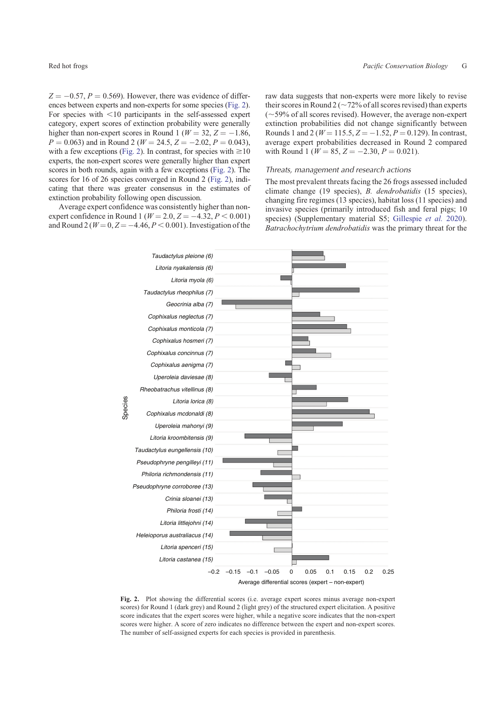$Z = -0.57$ ,  $P = 0.569$ ). However, there was evidence of differences between experts and non-experts for some species (Fig. 2). For species with  $\leq 10$  participants in the self-assessed expert category, expert scores of extinction probability were generally higher than non-expert scores in Round 1 ( $W = 32, Z = -1.86$ ,  $P = 0.063$ ) and in Round 2 ( $W = 24.5, Z = -2.02, P = 0.043$ ), with a few exceptions (Fig. 2). In contrast, for species with  $\geq 10$ experts, the non-expert scores were generally higher than expert scores in both rounds, again with a few exceptions (Fig. 2). The scores for 16 of 26 species converged in Round 2 (Fig. 2), indicating that there was greater consensus in the estimates of extinction probability following open discussion.

Average expert confidence was consistently higher than nonexpert confidence in Round 1 ( $W = 2.0, Z = -4.32, P < 0.001$ ) and Round 2 ( $W = 0, Z = -4.46, P < 0.001$ ). Investigation of the

raw data suggests that non-experts were more likely to revise their scores in Round 2 ( $\sim$  72% of all scores revised) than experts  $(-59%$  of all scores revised). However, the average non-expert extinction probabilities did not change significantly between Rounds 1 and 2 ( $W = 115.5, Z = -1.52, P = 0.129$ ). In contrast, average expert probabilities decreased in Round 2 compared with Round 1 ( $W = 85$ ,  $Z = -2.30$ ,  $P = 0.021$ ).

#### *Threats, management and research actions*

The most prevalent threats facing the 26 frogs assessed included climate change (19 species), *B. dendrobatidis* (15 species), changing fire regimes (13 species), habitat loss (11 species) and invasive species (primarily introduced fish and feral pigs; 10 species) (Supplementary material S5; [Gillespie](#page-11-0) *et al.* 2020). *Batrachochytrium dendrobatidis* was the primary threat for the



**Fig. 2.** Plot showing the differential scores (i.e. average expert scores minus average non-expert scores) for Round 1 (dark grey) and Round 2 (light grey) of the structured expert elicitation. A positive score indicates that the expert scores were higher, while a negative score indicates that the non-expert scores were higher. A score of zero indicates no difference between the expert and non-expert scores. The number of self-assigned experts for each species is provided in parenthesis.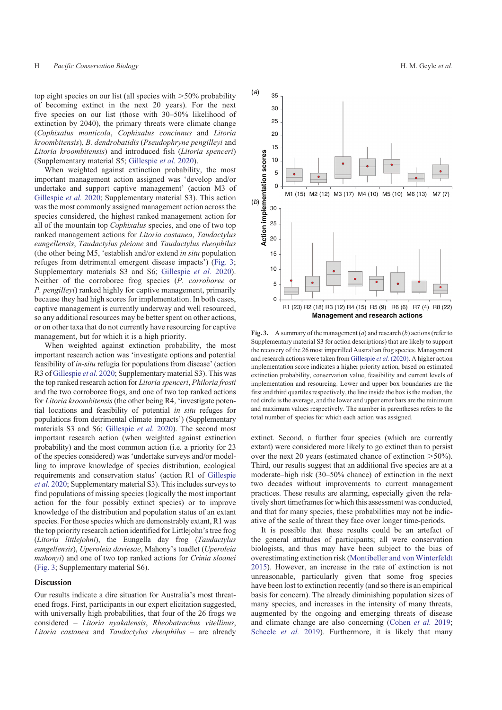top eight species on our list (all species with  $>50\%$  probability of becoming extinct in the next 20 years). For the next five species on our list (those with 30–50% likelihood of extinction by 2040), the primary threats were climate change (*Cophixalus monticola*, *Cophixalus concinnus* and *Litoria kroombitensis*), *B. dendrobatidis* (*Pseudophryne pengilleyi* and *Litoria kroombitensis*) and introduced fish (*Litoria spenceri*) (Supplementary material S5; [Gillespie](#page-11-0) *et al.* 2020).

When weighted against extinction probability, the most important management action assigned was 'develop and/or undertake and support captive management' (action M3 of [Gillespie](#page-11-0) *et al.* 2020; Supplementary material S3). This action was the most commonly assigned management action across the species considered, the highest ranked management action for all of the mountain top *Cophixalus* species, and one of two top ranked management actions for *Litoria castanea*, *Taudactylus eungellensis*, *Taudactylus pleione* and *Taudactylus rheophilus* (the other being M5, 'establish and/or extend *in situ* population refuges from detrimental emergent disease impacts') (Fig. 3; Supplementary materials S3 and S6; [Gillespie](#page-11-0) *et al.* 2020). Neither of the corroboree frog species (*P. corroboree* or *P. pengilleyi*) ranked highly for captive management, primarily because they had high scores for implementation. In both cases, captive management is currently underway and well resourced, so any additional resources may be better spent on other actions, or on other taxa that do not currently have resourcing for captive management, but for which it is a high priority.

When weighted against extinction probability, the most important research action was 'investigate options and potential feasibility of *in-situ* refugia for populations from disease' (action R3 of [Gillespie](#page-11-0) *et al.* 2020; Supplementary material S3). This was the top ranked research action for *Litoria spenceri*, *Philoria frosti* and the two corroboree frogs, and one of two top ranked actions for *Litoria kroombitensis* (the other being R4, 'investigate potential locations and feasibility of potential *in situ* refuges for populations from detrimental climate impacts') (Supplementary materials S3 and S6; [Gillespie](#page-11-0) *et al.* 2020). The second most important research action (when weighted against extinction probability) and the most common action (i.e. a priority for 23 of the species considered) was 'undertake surveys and/or modelling to improve knowledge of species distribution, ecological requirements and conservation status' (action R1 of [Gillespie](#page-11-0) *et al.* [2020](#page-11-0); Supplementary material S3). This includes surveys to find populations of missing species (logically the most important action for the four possibly extinct species) or to improve knowledge of the distribution and population status of an extant species. For those species which are demonstrably extant, R1 was the top priority research action identified for Littlejohn's tree frog (*Litoria littlejohni*), the Eungella day frog (*Taudactylus eungellensis*), *Uperoleia daviesae*, Mahony's toadlet (*Uperoleia mahonyi*) and one of two top ranked actions for *Crinia sloanei* (Fig. 3; Supplementary material S6).

#### **Discussion**

Our results indicate a dire situation for Australia's most threatened frogs. First, participants in our expert elicitation suggested, with universally high probabilities, that four of the 26 frogs we considered – *Litoria nyakalensis*, *Rheobatrachus vitellinus*, *Litoria castanea* and *Taudactylus rheophilus –* are already

**Fig. 3.** A summary of the management (*a*) and research (*b*) actions (refer to Supplementary material S3 for action descriptions) that are likely to support the recovery of the 26 most imperilled Australian frog species. Management and research actions were taken from [Gillespie](#page-11-0) *et al.* (2020). A higher action implementation score indicates a higher priority action, based on estimated extinction probability, conservation value, feasibility and current levels of implementation and resourcing. Lower and upper box boundaries are the first and third quartiles respectively, the line inside the box is the median, the red circle is the average, and the lower and upper error bars are the minimum and maximum values respectively. The number in parentheses refers to the total number of species for which each action was assigned.

extinct. Second, a further four species (which are currently extant) were considered more likely to go extinct than to persist over the next 20 years (estimated chance of extinction  $>50\%$ ). Third, our results suggest that an additional five species are at a moderate–high risk (30–50% chance) of extinction in the next two decades without improvements to current management practices. These results are alarming, especially given the relatively short timeframes for which this assessment was conducted, and that for many species, these probabilities may not be indicative of the scale of threat they face over longer time-periods.

It is possible that these results could be an artefact of the general attitudes of participants; all were conservation biologists, and thus may have been subject to the bias of overestimating extinction risk [\(Montibeller and von Winterfeldt](#page-12-0) [2015\)](#page-12-0). However, an increase in the rate of extinction is not unreasonable, particularly given that some frog species have been lost to extinction recently (and so there is an empirical basis for concern). The already diminishing population sizes of many species, and increases in the intensity of many threats, augmented by the ongoing and emerging threats of disease and climate change are also concerning [\(Cohen](#page-10-0) *et al.* 2019; [Scheele](#page-12-0) *et al.* 2019). Furthermore, it is likely that many

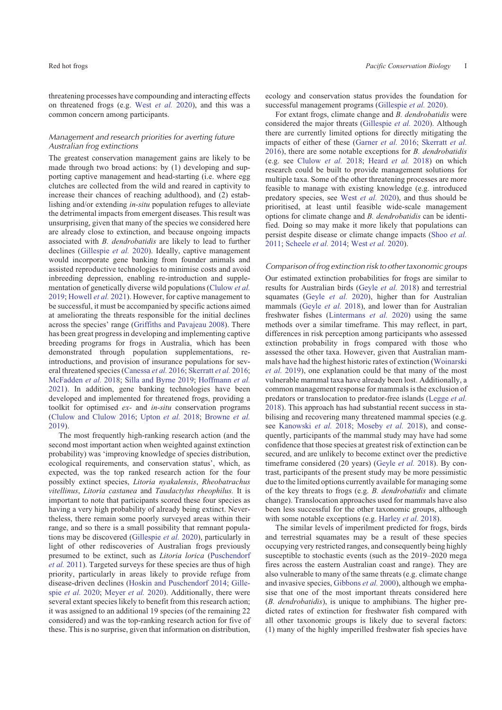threatening processes have compounding and interacting effects on threatened frogs (e.g. West *[et al.](#page-12-0)* 2020), and this was a common concern among participants.

# *Management and research priorities for averting future Australian frog extinctions*

The greatest conservation management gains are likely to be made through two broad actions: by (1) developing and supporting captive management and head-starting (i.e. where egg clutches are collected from the wild and reared in captivity to increase their chances of reaching adulthood), and (2) establishing and/or extending *in-situ* population refuges to alleviate the detrimental impacts from emergent diseases. This result was unsurprising, given that many of the species we considered here are already close to extinction, and because ongoing impacts associated with *B. dendrobatidis* are likely to lead to further declines ([Gillespie](#page-11-0) *et al.* 2020). Ideally, captive management would incorporate gene banking from founder animals and assisted reproductive technologies to minimise costs and avoid inbreeding depression, enabling re-introduction and supplementation of genetically diverse wild populations ([Clulow](#page-10-0) *et al.* [2019;](#page-10-0) [Howell](#page-11-0) *et al.* 2021). However, for captive management to be successful, it must be accompanied by specific actions aimed at ameliorating the threats responsible for the initial declines across the species' range ([Griffiths and Pavajeau 2008](#page-11-0)). There has been great progress in developing and implementing captive breeding programs for frogs in Australia, which has been demonstrated through population supplementations, reintroductions, and provision of insurance populations for several threatened species [\(Canessa](#page-10-0) *et al.* 2016; [Skerratt](#page-12-0) *et al.* 2016; [McFadden](#page-11-0) *et al.* 2018; [Silla and Byrne 2019;](#page-12-0) [Hoffmann](#page-11-0) *et al.* [2021\)](#page-11-0). In addition, gene banking technologies have been developed and implemented for threatened frogs, providing a toolkit for optimised *ex-* and *in-situ* conservation programs ([Clulow and Clulow 2016](#page-10-0); [Upton](#page-12-0) *et al.* 2018; [Browne](#page-10-0) *et al.* [2019\)](#page-10-0).

The most frequently high-ranking research action (and the second most important action when weighted against extinction probability) was 'improving knowledge of species distribution, ecological requirements, and conservation status', which, as expected, was the top ranked research action for the four possibly extinct species, *Litoria nyakalensis*, *Rheobatrachus vitellinus*, *Litoria castanea* and *Taudactylus rheophilus.* It is important to note that participants scored these four species as having a very high probability of already being extinct. Nevertheless, there remain some poorly surveyed areas within their range, and so there is a small possibility that remnant populations may be discovered ([Gillespie](#page-11-0) *et al.* 2020), particularly in light of other rediscoveries of Australian frogs previously presumed to be extinct, such as *Litoria lorica* ([Puschendorf](#page-12-0) *et al.* [2011\)](#page-12-0). Targeted surveys for these species are thus of high priority, particularly in areas likely to provide refuge from disease-driven declines ([Hoskin and Puschendorf 2014](#page-11-0); [Gille](#page-11-0)spie *[et al.](#page-11-0)* 2020; [Meyer](#page-12-0) *et al.* 2020). Additionally, there were several extant species likely to benefit from this research action; it was assigned to an additional 19 species (of the remaining 22 considered) and was the top-ranking research action for five of these. This is no surprise, given that information on distribution,

ecology and conservation status provides the foundation for successful management programs ([Gillespie](#page-11-0) *et al.* 2020).

For extant frogs, climate change and *B. dendrobatidis* were considered the major threats [\(Gillespie](#page-11-0) *et al.* 2020). Although there are currently limited options for directly mitigating the impacts of either of these ([Garner](#page-10-0) *et al.* 2016; [Skerratt](#page-12-0) *et al.* [2016\)](#page-12-0), there are some notable exceptions for *B. dendrobatidis* (e.g. see [Clulow](#page-10-0) *et al.* 2018; [Heard](#page-11-0) *et al.* 2018) on which research could be built to provide management solutions for multiple taxa. Some of the other threatening processes are more feasible to manage with existing knowledge (e.g. introduced predatory species, see West *[et al.](#page-12-0)* 2020), and thus should be prioritised, at least until feasible wide-scale management options for climate change and *B. dendrobatidis* can be identified. Doing so may make it more likely that populations can persist despite disease or climate change impacts (Shoo *[et al.](#page-12-0)* [2011;](#page-12-0) [Scheele](#page-12-0) *et al.* 2014; West *[et al.](#page-12-0)* 2020).

*Comparison of frog extinction risk to other taxonomic groups*

Our estimated extinction probabilities for frogs are similar to results for Australian birds ([Geyle](#page-10-0) *et al.* 2018) and terrestrial squamates ([Geyle](#page-10-0) *et al.* 2020), higher than for Australian mammals ([Geyle](#page-10-0) *et al.* 2018), and lower than for Australian freshwater fishes [\(Lintermans](#page-11-0) *et al.* 2020) using the same methods over a similar timeframe. This may reflect, in part, differences in risk perception among participants who assessed extinction probability in frogs compared with those who assessed the other taxa. However, given that Australian mammals have had the highest historic rates of extinction [\(Woinarski](#page-12-0) *[et al.](#page-12-0)* 2019), one explanation could be that many of the most vulnerable mammal taxa have already been lost. Additionally, a common management response for mammals is the exclusion of predators or translocation to predator-free islands ([Legge](#page-11-0) *et al.* [2018\)](#page-11-0). This approach has had substantial recent success in stabilising and recovering many threatened mammal species (e.g. see [Kanowski](#page-11-0) *et al.* 2018; [Moseby](#page-12-0) *et al.* 2018), and consequently, participants of the mammal study may have had some confidence that those species at greatest risk of extinction can be secured, and are unlikely to become extinct over the predictive timeframe considered (20 years) ([Geyle](#page-10-0) *et al.* 2018). By contrast, participants of the present study may be more pessimistic due to the limited options currently available for managing some of the key threats to frogs (e.g. *B. dendrobatidis* and climate change). Translocation approaches used for mammals have also been less successful for the other taxonomic groups, although with some notable exceptions (e.g. [Harley](#page-11-0) *et al.* 2018).

The similar levels of imperilment predicted for frogs, birds and terrestrial squamates may be a result of these species occupying very restricted ranges, and consequently being highly susceptible to stochastic events (such as the 2019–2020 mega fires across the eastern Australian coast and range). They are also vulnerable to many of the same threats (e.g. climate change and invasive species, [Gibbons](#page-11-0) *et al.* 2000), although we emphasise that one of the most important threats considered here (*B. dendrobatidis*), is unique to amphibians. The higher predicted rates of extinction for freshwater fish compared with all other taxonomic groups is likely due to several factors: (1) many of the highly imperilled freshwater fish species have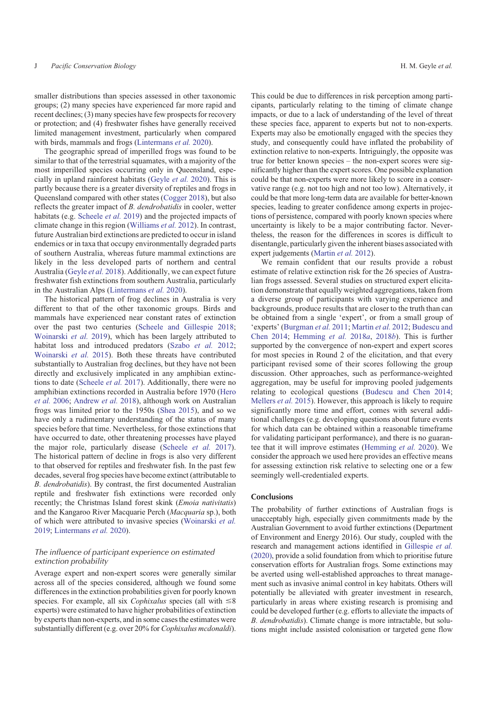smaller distributions than species assessed in other taxonomic groups; (2) many species have experienced far more rapid and recent declines; (3) many species have few prospects for recovery or protection; and (4) freshwater fishes have generally received limited management investment, particularly when compared with birds, mammals and frogs ([Lintermans](#page-11-0) *et al.* 2020).

The geographic spread of imperilled frogs was found to be similar to that of the terrestrial squamates, with a majority of the most imperilled species occurring only in Queensland, especially in upland rainforest habitats ([Geyle](#page-10-0) *et al.* 2020). This is partly because there is a greater diversity of reptiles and frogs in Queensland compared with other states ([Cogger 2018\)](#page-10-0), but also reflects the greater impact of *B. dendrobatidis* in cooler, wetter habitats (e.g. [Scheele](#page-12-0) *et al.* 2019) and the projected impacts of climate change in this region [\(Williams](#page-12-0) *et al.* 2012). In contrast, future Australian bird extinctions are predicted to occur in island endemics or in taxa that occupy environmentally degraded parts of southern Australia, whereas future mammal extinctions are likely in the less developed parts of northern and central Australia ([Geyle](#page-10-0) *et al.* 2018). Additionally, we can expect future freshwater fish extinctions from southern Australia, particularly in the Australian Alps [\(Lintermans](#page-11-0) *et al.* 2020).

The historical pattern of frog declines in Australia is very different to that of the other taxonomic groups. Birds and mammals have experienced near constant rates of extinction over the past two centuries [\(Scheele and Gillespie 2018](#page-12-0); [Woinarski](#page-12-0) *et al.* 2019), which has been largely attributed to habitat loss and introduced predators ([Szabo](#page-12-0) *et al.* 2012; [Woinarski](#page-12-0) *et al.* 2015). Both these threats have contributed substantially to Australian frog declines, but they have not been directly and exclusively implicated in any amphibian extinctions to date ([Scheele](#page-12-0) *et al.* 2017). Additionally, there were no amphibian extinctions recorded in Australia before 1970 [\(Hero](#page-11-0) *[et al.](#page-11-0)* 2006; [Andrew](#page-10-0) *et al.* 2018), although work on Australian frogs was limited prior to the 1950s ([Shea 2015\)](#page-12-0), and so we have only a rudimentary understanding of the status of many species before that time. Nevertheless, for those extinctions that have occurred to date, other threatening processes have played the major role, particularly disease [\(Scheele](#page-12-0) *et al.* 2017). The historical pattern of decline in frogs is also very different to that observed for reptiles and freshwater fish. In the past few decades, several frog species have become extinct (attributable to *B. dendrobatidis*). By contrast, the first documented Australian reptile and freshwater fish extinctions were recorded only recently; the Christmas Island forest skink (*Emoia nativitatis*) and the Kangaroo River Macquarie Perch (*Macquaria* sp.), both of which were attributed to invasive species ([Woinarski](#page-12-0) *et al.* [2019](#page-12-0); [Lintermans](#page-11-0) *et al.* 2020).

# *The influence of participant experience on estimated extinction probability*

Average expert and non-expert scores were generally similar across all of the species considered, although we found some differences in the extinction probabilities given for poorly known species. For example, all six *Cophixalus* species (all with  $\leq 8$ ) experts) were estimated to have higher probabilities of extinction by experts than non-experts, and in some cases the estimates were substantially different (e.g. over 20% for *Cophixalus mcdonaldi*).

This could be due to differences in risk perception among participants, particularly relating to the timing of climate change impacts, or due to a lack of understanding of the level of threat these species face, apparent to experts but not to non-experts. Experts may also be emotionally engaged with the species they study, and consequently could have inflated the probability of extinction relative to non-experts. Intriguingly, the opposite was true for better known species – the non-expert scores were significantly higher than the expert scores. One possible explanation could be that non-experts were more likely to score in a conservative range (e.g. not too high and not too low). Alternatively, it could be that more long-term data are available for better-known species, leading to greater confidence among experts in projections of persistence, compared with poorly known species where uncertainty is likely to be a major contributing factor. Nevertheless, the reason for the differences in scores is difficult to disentangle, particularly given the inherent biases associated with expert judgements [\(Martin](#page-11-0) *et al.* 2012).

We remain confident that our results provide a robust estimate of relative extinction risk for the 26 species of Australian frogs assessed. Several studies on structured expert elicitation demonstrate that equally weighted aggregations, taken from a diverse group of participants with varying experience and backgrounds, produce results that are closer to the truth than can be obtained from a single 'expert', or from a small group of 'experts' ([Burgman](#page-10-0) *et al.* 2011; [Martin](#page-11-0) *et al.* 2012; [Budescu and](#page-10-0) [Chen 2014](#page-10-0); [Hemming](#page-11-0) *et al.* 2018*a*, [2018](#page-11-0)*b*). This is further supported by the convergence of non-expert and expert scores for most species in Round 2 of the elicitation, and that every participant revised some of their scores following the group discussion. Other approaches, such as performance-weighted aggregation, may be useful for improving pooled judgements relating to ecological questions [\(Budescu and Chen 2014](#page-10-0); [Mellers](#page-12-0) *et al.* 2015). However, this approach is likely to require significantly more time and effort, comes with several additional challenges (e.g. developing questions about future events for which data can be obtained within a reasonable timeframe for validating participant performance), and there is no guarantee that it will improve estimates [\(Hemming](#page-11-0) *et al.* 2020). We consider the approach we used here provides an effective means for assessing extinction risk relative to selecting one or a few seemingly well-credentialed experts.

#### **Conclusions**

The probability of further extinctions of Australian frogs is unacceptably high, especially given commitments made by the Australian Government to avoid further extinctions (Department of Environment and Energy 2016). Our study, coupled with the research and management actions identified in [Gillespie](#page-11-0) *et al.* [\(2020\)](#page-11-0), provide a solid foundation from which to prioritise future conservation efforts for Australian frogs. Some extinctions may be averted using well-established approaches to threat management such as invasive animal control in key habitats. Others will potentially be alleviated with greater investment in research, particularly in areas where existing research is promising and could be developed further (e.g. efforts to alleviate the impacts of *B. dendrobatidis*). Climate change is more intractable, but solutions might include assisted colonisation or targeted gene flow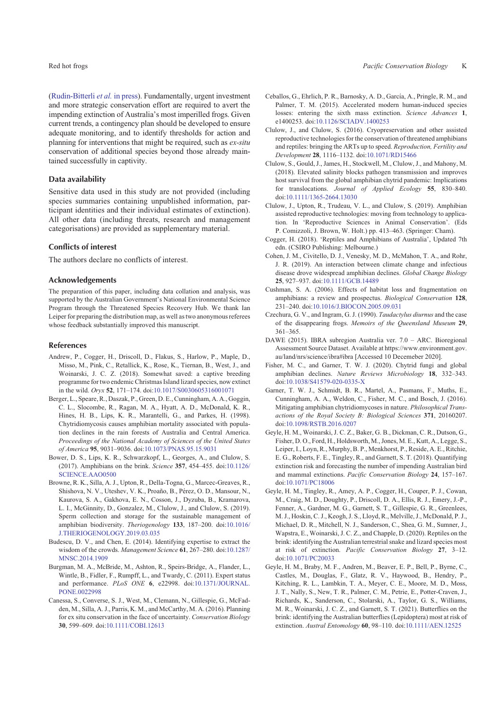<span id="page-10-0"></span>adequate monitoring, and to identify thresholds for action and planning for interventions that might be required, such as *ex-situ* conservation of additional species beyond those already maintained successfully in captivity.

# **Data availability**

Sensitive data used in this study are not provided (including species summaries containing unpublished information, participant identities and their individual estimates of extinction). All other data (including threats, research and management categorisations) are provided as supplementary material.

#### **Conflicts of interest**

The authors declare no conflicts of interest.

#### **Acknowledgements**

The preparation of this paper, including data collation and analysis, was supported by the Australian Government's National Environmental Science Program through the Threatened Species Recovery Hub. We thank Ian Leiper for preparing the distribution map, as well as two anonymous referees whose feedback substantially improved this manuscript.

#### **References**

- Andrew, P., Cogger, H., Driscoll, D., Flakus, S., Harlow, P., Maple, D., Misso, M., Pink, C., Retallick, K., Rose, K., Tiernan, B., West, J., and Woinarski, J. C. Z. (2018). Somewhat saved: a captive breeding programme for two endemic Christmas Island lizard species, now extinct in the wild. *Oryx* **52**, 171–174. doi[:10.1017/S0030605316001071](http://dx.doi.org/10.1017/S0030605316001071)
- Berger, L., Speare, R., Daszak, P., Green, D. E., Cunningham, A. A., Goggin, C. L., Slocombe, R., Ragan, M. A., Hyatt, A. D., McDonald, K. R., Hines, H. B., Lips, K. R., Marantelli, G., and Parkes, H. (1998). Chytridiomycosis causes amphibian mortality associated with population declines in the rain forests of Australia and Central America. *Proceedings of the National Academy of Sciences of the United States of America* **95**, 9031–9036. doi[:10.1073/PNAS.95.15.9031](http://dx.doi.org/10.1073/PNAS.95.15.9031)
- Bower, D. S., Lips, K. R., Schwarzkopf, L., Georges, A., and Clulow, S. (2017). Amphibians on the brink. *Science* **357**, 454–455. doi:[10.1126/](http://dx.doi.org/10.1126/SCIENCE.AAO0500) [SCIENCE.AAO0500](http://dx.doi.org/10.1126/SCIENCE.AAO0500)
- Browne, R. K., Silla, A. J., Upton, R., Della-Togna, G., Marcec-Greaves, R., Shishova, N. V., Uteshev, V. K., Proaño, B., Pérez, O. D., Mansour, N., Kaurova, S. A., Gakhova, E. N., Cosson, J., Dyzuba, B., Kramarova, L. I., McGinnity, D., Gonzalez, M., Clulow, J., and Clulow, S. (2019). Sperm collection and storage for the sustainable management of amphibian biodiversity. *Theriogenology* **133**, 187–200. doi:[10.1016/](http://dx.doi.org/10.1016/J.THERIOGENOLOGY.2019.03.035) [J.THERIOGENOLOGY.2019.03.035](http://dx.doi.org/10.1016/J.THERIOGENOLOGY.2019.03.035)
- Budescu, D. V., and Chen, E. (2014). Identifying expertise to extract the wisdom of the crowds. *Management Science* **61**, 267–280. doi:[10.1287/](http://dx.doi.org/10.1287/MNSC.2014.1909) [MNSC.2014.1909](http://dx.doi.org/10.1287/MNSC.2014.1909)
- Burgman, M. A., McBride, M., Ashton, R., Speirs-Bridge, A., Flander, L., Wintle, B., Fidler, F., Rumpff, L., and Twardy, C. (2011). Expert status and performance. *PLoS ONE* **6**, e22998. doi:[10.1371/JOURNAL.](http://dx.doi.org/10.1371/JOURNAL.PONE.0022998) [PONE.0022998](http://dx.doi.org/10.1371/JOURNAL.PONE.0022998)
- Canessa, S., Converse, S. J., West, M., Clemann, N., Gillespie, G., McFadden, M., Silla, A. J., Parris, K. M., and McCarthy, M. A. (2016). Planning for ex situ conservation in the face of uncertainty. *Conservation Biology* **30**, 599–609. doi[:10.1111/COBI.12613](http://dx.doi.org/10.1111/COBI.12613)
- Ceballos, G., Ehrlich, P. R., Barnosky, A. D., García, A., Pringle, R. M., and Palmer, T. M. (2015). Accelerated modern human-induced species losses: entering the sixth mass extinction. *Science Advances* **1**, e1400253. doi:[10.1126/SCIADV.1400253](http://dx.doi.org/10.1126/SCIADV.1400253)
- Clulow, J., and Clulow, S. (2016). Cryopreservation and other assisted reproductive technologies for the conservation of threatened amphibians and reptiles: bringing the ARTs up to speed. *Reproduction, Fertility and Development* **28**, 1116–1132. doi[:10.1071/RD15466](http://dx.doi.org/10.1071/RD15466)
- Clulow, S., Gould, J., James, H., Stockwell, M., Clulow, J., and Mahony, M. (2018). Elevated salinity blocks pathogen transmission and improves host survival from the global amphibian chytrid pandemic: Implications for translocations. *Journal of Applied Ecology* **55**, 830–840. doi[:10.1111/1365-2664.13030](http://dx.doi.org/10.1111/1365-2664.13030)
- Clulow, J., Upton, R., Trudeau, V. L., and Clulow, S. (2019). Amphibian assisted reproductive technologies: moving from technology to application. In 'Reproductive Sciences in Animal Conservation'. (Eds P. Comizzoli, J. Brown, W. Holt.) pp. 413–463. (Springer: Cham).
- Cogger, H. (2018). 'Reptiles and Amphibians of Australia', Updated 7th edn. (CSIRO Publishing: Melbourne.)
- Cohen, J. M., Civitello, D. J., Venesky, M. D., McMahon, T. A., and Rohr, J. R. (2019). An interaction between climate change and infectious disease drove widespread amphibian declines. *Global Change Biology* **25**, 927–937. doi[:10.1111/GCB.14489](http://dx.doi.org/10.1111/GCB.14489)
- Cushman, S. A. (2006). Effects of habitat loss and fragmentation on amphibians: a review and prospectus. *Biological Conservation* **128**, 231–240. doi[:10.1016/J.BIOCON.2005.09.031](http://dx.doi.org/10.1016/J.BIOCON.2005.09.031)
- Czechura, G. V., and Ingram, G. J. (1990). *Taudactylus diurnus* and the case of the disappearing frogs. *Memoirs of the Queensland Museum* **29**, 361–365.
- DAWE (2015). IBRA subregion Australia ver. 7.0 ARC. Bioregional Assessment Source Dataset. Available at [https://www.environment.gov.](https://www.environment.gov.au/land/nrs/science/ibra#ibra) [au/land/nrs/science/ibra#ibra](https://www.environment.gov.au/land/nrs/science/ibra#ibra) [Accessed 10 Decemeber 2020].
- Fisher, M. C., and Garner, T. W. J. (2020). Chytrid fungi and global amphibian declines. *Nature Reviews Microbiology* **18**, 332–343. doi[:10.1038/S41579-020-0335-X](http://dx.doi.org/10.1038/S41579-020-0335-X)
- Garner, T. W. J., Schmidt, B. R., Martel, A., Pasmans, F., Muths, E., Cunningham, A. A., Weldon, C., Fisher, M. C., and Bosch, J. (2016). Mitigating amphibian chytridiomycoses in nature. *Philosophical Transactions of the Royal Society B: Biological Sciences* **371**, 20160207. doi[:10.1098/RSTB.2016.0207](http://dx.doi.org/10.1098/RSTB.2016.0207)
- Geyle, H. M., Woinarski, J. C. Z., Baker, G. B., Dickman, C. R., Dutson, G., Fisher, D. O., Ford, H., Holdsworth, M., Jones, M. E., Kutt, A., Legge, S., Leiper, I., Loyn, R., Murphy, B. P., Menkhorst, P., Reside, A. E., Ritchie, E. G., Roberts, F. E., Tingley, R., and Garnett, S. T. (2018). Quantifying extinction risk and forecasting the number of impending Australian bird and mammal extinctions. *Pacific Conservation Biology* **24**, 157–167. doi[:10.1071/PC18006](http://dx.doi.org/10.1071/PC18006)
- Geyle, H. M., Tingley, R., Amey, A. P., Cogger, H., Couper, P. J., Cowan, M., Craig, M. D., Doughty, P., Driscoll, D. A., Ellis, R. J., Emery, J.-P., Fenner, A., Gardner, M. G., Garnett, S. T., Gillespie, G. R., Greenlees, M. J., Hoskin, C. J., Keogh, J. S., Lloyd, R., Melville, J., McDonald, P. J., Michael, D. R., Mitchell, N. J., Sanderson, C., Shea, G. M., Sumner, J., Wapstra, E., Woinarski, J. C. Z., and Chapple, D. (2020). Reptiles on the brink: identifying the Australian terrestrial snake and lizard species most at risk of extinction. *Pacific Conservation Biology* **27**, 3–12. doi[:10.1071/PC20033](http://dx.doi.org/10.1071/PC20033)
- Geyle, H. M., Braby, M. F., Andren, M., Beaver, E. P., Bell, P., Byrne, C., Castles, M., Douglas, F., Glatz, R. V., Haywood, B., Hendry, P., Kitching, R. L., Lambkin, T. A., Meyer, C. E., Moore, M. D., Moss, J. T., Nally, S., New, T. R., Palmer, C. M., Petrie, E., Potter-Craven, J., Richards, K., Sanderson, C., Stolarski, A., Taylor, G. S., Williams, M. R., Woinarski, J. C. Z., and Garnett, S. T. (2021). Butterflies on the brink: identifying the Australian butterflies (Lepidoptera) most at risk of extinction. *Austral Entomology* **60**, 98–110. doi[:10.1111/AEN.12525](http://dx.doi.org/10.1111/AEN.12525)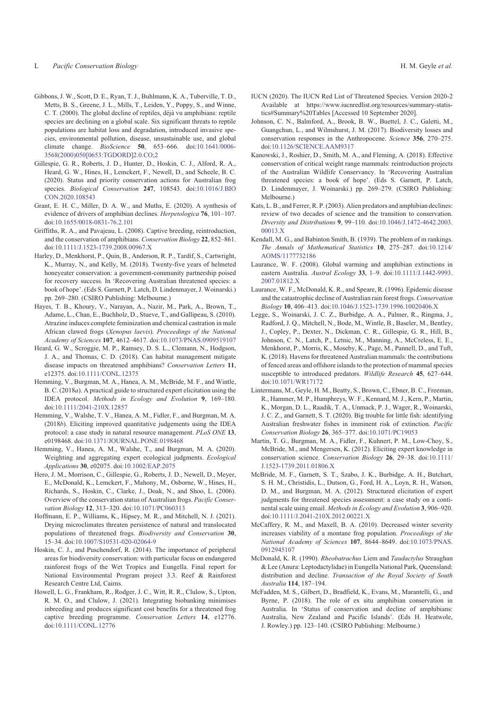- <span id="page-11-0"></span>Gibbons, J. W., Scott, D. E., Ryan, T. J., Buhlmann, K. A., Tuberville, T. D., Metts, B. S., Greene, J. L., Mills, T., Leiden, Y., Poppy, S., and Winne, C. T. (2000). The global decline of reptiles, déjà vu amphibians: reptile species are declining on a global scale. Six significant threats to reptile populations are habitat loss and degradation, introduced invasive species, environmental pollution, disease, unsustainable use, and global climate change. *BioScience* **50**, 653–666. doi[:10.1641/0006-](http://dx.doi.org/10.1641/0006-3568(2000)050[0653:TGDORD]2.0.CO;2) [3568\(2000\)050\[0653:TGDORD\]2.0.CO;2](http://dx.doi.org/10.1641/0006-3568(2000)050[0653:TGDORD]2.0.CO;2)
- Gillespie, G. R., Roberts, J. D., Hunter, D., Hoskin, C. J., Alford, R. A., Heard, G. W., Hines, H., Lemckert, F., Newell, D., and Scheele, B. C. (2020). Status and priority conservation actions for Australian frog species. *Biological Conservation* **247**, 108543. doi[:10.1016/J.BIO](http://dx.doi.org/10.1016/J.BIOCON.2020.108543) [CON.2020.108543](http://dx.doi.org/10.1016/J.BIOCON.2020.108543)
- Grant, E. H. C., Miller, D. A. W., and Muths, E. (2020). A synthesis of evidence of drivers of amphibian declines. *Herpetologica* **76**, 101–107. doi[:10.1655/0018-0831-76.2.101](http://dx.doi.org/10.1655/0018-0831-76.2.101)
- Griffiths, R. A., and Pavajeau, L. (2008). Captive breeding, reintroduction, and the conservation of amphibians. *Conservation Biology* **22**, 852–861. doi[:10.1111/J.1523-1739.2008.00967.X](http://dx.doi.org/10.1111/J.1523-1739.2008.00967.X)
- Harley, D., Menkhorst, P., Quin, B., Anderson, R. P., Tardif, S., Cartwright, K., Murray, N., and Kelly, M. (2018). Twenty-five years of helmeted honeyeater conservation: a government-community partnership poised for recovery success. In 'Recovering Australian threatened species: a book of hope'. (Eds S. Garnett, P. Latch, D. Lindenmayer, J. Woinarski.) pp. 269–280. (CSIRO Publishing: Melbourne.)
- Hayes, T. B., Khoury, V., Narayan, A., Nazir, M., Park, A., Brown, T., Adame, L., Chan, E., Buchholz, D., Stueve, T., and Gallipeau, S. (2010). Atrazine induces complete feminization and chemical castration in male African clawed frogs (*Xenopus laevis*). *Proceedings of the National Academy of Sciences* **107**, 4612–4617. doi[:10.1073/PNAS.0909519107](http://dx.doi.org/10.1073/PNAS.0909519107)
- Heard, G. W., Scroggie, M. P., Ramsey, D. S. L., Clemann, N., Hodgson, J. A., and Thomas, C. D. (2018). Can habitat management mitigate disease impacts on threatened amphibians? *Conservation Letters* **11**, e12375. doi:[10.1111/CONL.12375](http://dx.doi.org/10.1111/CONL.12375)
- Hemming, V., Burgman, M. A., Hanea, A. M., McBride, M. F., and Wintle, B. C. (2018*a*). A practical guide to structured expert elicitation using the IDEA protocol. *Methods in Ecology and Evolution* **9**, 169–180. doi[:10.1111/2041-210X.12857](http://dx.doi.org/10.1111/2041-210X.12857)
- Hemming, V., Walshe, T. V., Hanea, A. M., Fidler, F., and Burgman, M. A. (2018*b*). Eliciting improved quantitative judgements using the IDEA protocol: a case study in natural resource management. *PLoS ONE* **13**, e0198468. doi:[10.1371/JOURNAL.PONE.0198468](http://dx.doi.org/10.1371/JOURNAL.PONE.0198468)
- Hemming, V., Hanea, A. M., Walshe, T., and Burgman, M. A. (2020). Weighting and aggregating expert ecological judgments. *Ecological Applications* **30**, e02075. doi[:10.1002/EAP.2075](http://dx.doi.org/10.1002/EAP.2075)
- Hero, J. M., Morrison, C., Gillespie, G., Roberts, J. D., Newell, D., Meyer, E., McDonald, K., Lemckert, F., Mahony, M., Osborne, W., Hines, H., Richards, S., Hoskin, C., Clarke, J., Doak, N., and Shoo, L. (2006). Overview of the conservation status of Australian frogs. *Pacific Conservation Biology* **12**, 313–320. doi[:10.1071/PC060313](http://dx.doi.org/10.1071/PC060313)
- Hoffmann, E. P., Williams, K., Hipsey, M. R., and Mitchell, N. J. (2021). Drying microclimates threaten persistence of natural and translocated populations of threatened frogs. *Biodiversity and Conservation* **30**, 15–34. doi[:10.1007/S10531-020-02064-9](http://dx.doi.org/10.1007/S10531-020-02064-9)
- Hoskin, C. J., and Puschendorf, R. (2014). The importance of peripheral areas for biodiversity conservation: with particular focus on endangered rainforest frogs of the Wet Tropics and Eungella. Final report for National Environmental Program project 3.3. Reef & Rainforest Research Centre Ltd, Cairns.
- Howell, L. G., Frankham, R., Rodger, J. C., Witt, R. R., Clulow, S., Upton, R. M. O., and Clulow, J. (2021). Integrating biobanking minimises inbreeding and produces significant cost benefits for a threatened frog captive breeding programme. *Conservation Letters* **14**, e12776. doi[:10.1111/CONL.12776](http://dx.doi.org/10.1111/CONL.12776)
- IUCN (2020). The IUCN Red List of Threatened Species. Version 2020-2 Available at [https://www.iucnredlist.org/resources/summary-statis](https://www.iucnredlist.org/resources/summary-statistics#Summary%20Tables)[tics#Summary%20Tables](https://www.iucnredlist.org/resources/summary-statistics#Summary%20Tables) [Accessed 10 September 2020].
- Johnson, C. N., Balmford, A., Brook, B. W., Buettel, J. C., Galetti, M., Guangchun, L., and Wilmshurst, J. M. (2017). Biodiversity losses and conservation responses in the Anthropocene. *Science* **356**, 270–275. doi[:10.1126/SCIENCE.AAM9317](http://dx.doi.org/10.1126/SCIENCE.AAM9317)
- Kanowski, J., Roshier, D., Smith, M. A., and Fleming, A. (2018). Effective conservation of critical weight range mammals: reintroduction projects of the Australian Wildlife Conservancy. In 'Recovering Australian threatened species: a book of hope'. (Eds S. Garnett, P. Latch, D. Lindenmayer, J. Woinarski.) pp. 269–279. (CSIRO Publishing: Melbourne.)
- Kats, L. B., and Ferrer, R. P. (2003). Alien predators and amphibian declines: review of two decades of science and the transition to conservation. *Diversity and Distributions* **9**, 99–110. doi:[10.1046/J.1472-4642.2003.](http://dx.doi.org/10.1046/J.1472-4642.2003.00013.X) [00013.X](http://dx.doi.org/10.1046/J.1472-4642.2003.00013.X)
- Kendall, M. G., and Babinton Smith, B. (1939). The problem of m rankings. *The Annals of Mathematical Statistics* **10**, 275–287. doi:[10.1214/](http://dx.doi.org/10.1214/AOMS/1177732186) [AOMS/1177732186](http://dx.doi.org/10.1214/AOMS/1177732186)
- Laurance, W. F. (2008). Global warming and amphibian extinctions in eastern Australia. *Austral Ecology* **33**, 1–9. doi[:10.1111/J.1442-9993.](http://dx.doi.org/10.1111/J.1442-9993.2007.01812.X) [2007.01812.X](http://dx.doi.org/10.1111/J.1442-9993.2007.01812.X)
- Laurance, W. F., McDonald, K. R., and Speare, R. (1996). Epidemic disease and the catastrophic decline of Australian rain forest frogs. *Conservation Biology* **10**, 406–413. doi[:10.1046/J.1523-1739.1996.10020406.X](http://dx.doi.org/10.1046/J.1523-1739.1996.10020406.X)
- Legge, S., Woinarski, J. C. Z., Burbidge, A. A., Palmer, R., Ringma, J., Radford, J. Q., Mitchell, N., Bode, M., Wintle, B., Baseler, M., Bentley, J., Copley, P., Dexter, N., Dickman, C. R., Gillespie, G. R., Hill, B., Johnson, C. N., Latch, P., Letnic, M., Manning, A., McCreless, E. E., Menkhorst, P., Morris, K., Moseby, K., Page, M., Pannell, D., and Tuft, K. (2018). Havens for threatened Australian mammals: the contributions of fenced areas and offshore islands to the protection of mammal species susceptible to introduced predators. *Wildlife Research* **45**, 627–644. doi[:10.1071/WR17172](http://dx.doi.org/10.1071/WR17172)
- Lintermans, M., Geyle, H. M., Beatty, S., Brown, C., Ebner, B. C., Freeman, R., Hammer, M. P., Humphreys, W. F., Kennard, M. J., Kern, P., Martin, K., Morgan, D. L., Raadik, T. A., Unmack, P. J., Wager, R., Woinarski, J. C. Z., and Garnett, S. T. (2020). Big trouble for little fish: identifying Australian freshwater fishes in imminent risk of extinction. *Pacific Conservation Biology* **26**, 365–377. doi[:10.1071/PC19053](http://dx.doi.org/10.1071/PC19053)
- Martin, T. G., Burgman, M. A., Fidler, F., Kuhnert, P. M., Low-Choy, S., McBride, M., and Mengersen, K. (2012). Eliciting expert knowledge in conservation science. *Conservation Biology* **26**, 29–38. doi:[10.1111/](http://dx.doi.org/10.1111/J.1523-1739.2011.01806.X) [J.1523-1739.2011.01806.X](http://dx.doi.org/10.1111/J.1523-1739.2011.01806.X)
- McBride, M. F., Garnett, S. T., Szabo, J. K., Burbidge, A. H., Butchart, S. H. M., Christidis, L., Dutson, G., Ford, H. A., Loyn, R. H., Watson, D. M., and Burgman, M. A. (2012). Structured elicitation of expert judgments for threatened species assessment: a case study on a continental scale using email. *Methods in Ecology and Evolution* **3**, 906–920. doi[:10.1111/J.2041-210X.2012.00221.X](http://dx.doi.org/10.1111/J.2041-210X.2012.00221.X)
- McCaffery, R. M., and Maxell, B. A. (2010). Decreased winter severity increases viability of a montane frog population. *Proceedings of the National Academy of Sciences* **107**, 8644–8649. doi:[10.1073/PNAS.](http://dx.doi.org/10.1073/PNAS.0912945107) [0912945107](http://dx.doi.org/10.1073/PNAS.0912945107)
- McDonald, K. R. (1990). *Rheobatrachus* Liem and *Taudactylus* Straughan & Lee (Anura: Leptodactylidae) in Eungella National Park, Queensland: distribution and decline. *Transaction of the Royal Society of South Australia* **114**, 187–194.
- McFadden, M. S., Gilbert, D., Bradfield, K., Evans, M., Marantelli, G., and Byrne, P. (2018). The role of ex situ amphibian conservation in Australia. In 'Status of conservation and decline of amphibians: Australia, New Zealand and Pacific Islands'. (Eds H. Heatwole, J. Rowley.) pp. 123–140. (CSIRO Publishing: Melbourne.)